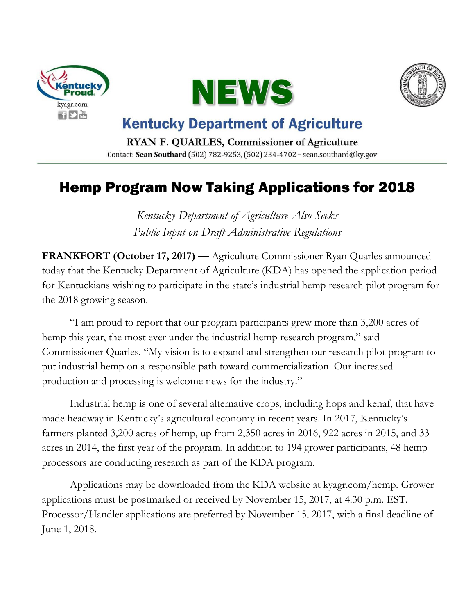





## **Kentucky Department of Agriculture**

RYAN F. QUARLES, Commissioner of Agriculture Contact: Sean Southard (502) 782-9253, (502) 234-4702 - sean.southard@ky.gov

## Hemp Program Now Taking Applications for 2018

*Kentucky Department of Agriculture Also Seeks Public Input on Draft Administrative Regulations*

**FRANKFORT (October 17, 2017) — Agriculture Commissioner Ryan Quarles announced** today that the Kentucky Department of Agriculture (KDA) has opened the application period for Kentuckians wishing to participate in the state's industrial hemp research pilot program for the 2018 growing season.

"I am proud to report that our program participants grew more than 3,200 acres of hemp this year, the most ever under the industrial hemp research program," said Commissioner Quarles. "My vision is to expand and strengthen our research pilot program to put industrial hemp on a responsible path toward commercialization. Our increased production and processing is welcome news for the industry."

Industrial hemp is one of several alternative crops, including hops and kenaf, that have made headway in Kentucky's agricultural economy in recent years. In 2017, Kentucky's farmers planted 3,200 acres of hemp, up from 2,350 acres in 2016, 922 acres in 2015, and 33 acres in 2014, the first year of the program. In addition to 194 grower participants, 48 hemp processors are conducting research as part of the KDA program.

Applications may be downloaded from the KDA website at kyagr.com/hemp. Grower applications must be postmarked or received by November 15, 2017, at 4:30 p.m. EST. Processor/Handler applications are preferred by November 15, 2017, with a final deadline of June 1, 2018.